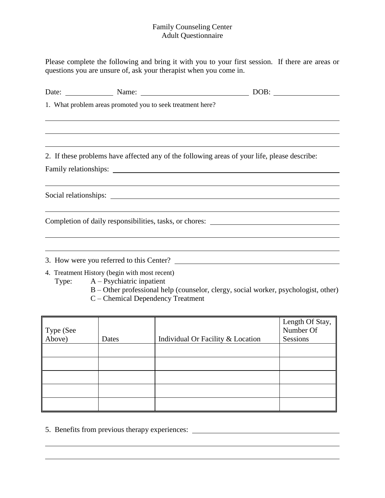## Family Counseling Center Adult Questionnaire

Please complete the following and bring it with you to your first session. If there are areas or questions you are unsure of, ask your therapist when you come in.

| 1. What problem areas promoted you to seek treatment here?                         |                                                                                              |
|------------------------------------------------------------------------------------|----------------------------------------------------------------------------------------------|
|                                                                                    |                                                                                              |
|                                                                                    |                                                                                              |
|                                                                                    | 2. If these problems have affected any of the following areas of your life, please describe: |
|                                                                                    |                                                                                              |
|                                                                                    |                                                                                              |
|                                                                                    |                                                                                              |
|                                                                                    | ,我们也不会有什么。""我们的人,我们也不会有什么?""我们的人,我们也不会有什么?""我们的人,我们也不会有什么?""我们的人,我们也不会有什么?""我们的人             |
|                                                                                    | Completion of daily responsibilities, tasks, or chores: _________________________            |
|                                                                                    |                                                                                              |
|                                                                                    | ,我们也不会有什么?""我们的人,我们也不会不会不会。""我们的人,我们也不会不会不会不会。""我们的人,我们也不会不会不会不会。""我们的人,我们也不会不会不             |
|                                                                                    | 3. How were you referred to this Center?                                                     |
| 4. Treatment History (begin with most recent)<br>Type: $A - Psychiatric inpatient$ |                                                                                              |

B – Other professional help (counselor, clergy, social worker, psychologist, other) C – Chemical Dependency Treatment

| Type (See<br>Above) | Dates | Individual Or Facility & Location | Length Of Stay,<br>Number Of<br>Sessions |
|---------------------|-------|-----------------------------------|------------------------------------------|
|                     |       |                                   |                                          |
|                     |       |                                   |                                          |
|                     |       |                                   |                                          |
|                     |       |                                   |                                          |
|                     |       |                                   |                                          |

5. Benefits from previous therapy experiences: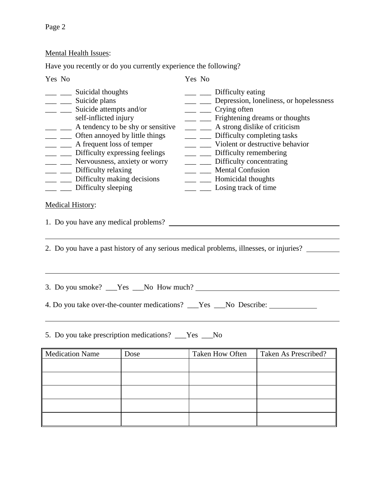# Mental Health Issues:

Have you recently or do you currently experience the following?

| Yes No                                                                                                                                                                                                                                                                                                                                                                                                                                                                                                                                                                                                                                                                                                                                                                                                                                                                                                                                                                                                                                                                                                                                                                                                                                                                                                                                       | Yes No |  |  |  |  |
|----------------------------------------------------------------------------------------------------------------------------------------------------------------------------------------------------------------------------------------------------------------------------------------------------------------------------------------------------------------------------------------------------------------------------------------------------------------------------------------------------------------------------------------------------------------------------------------------------------------------------------------------------------------------------------------------------------------------------------------------------------------------------------------------------------------------------------------------------------------------------------------------------------------------------------------------------------------------------------------------------------------------------------------------------------------------------------------------------------------------------------------------------------------------------------------------------------------------------------------------------------------------------------------------------------------------------------------------|--------|--|--|--|--|
| ___ ___ Suicidal thoughts<br>$\frac{1}{\sqrt{1-\frac{1}{\sqrt{1-\frac{1}{\sqrt{1-\frac{1}{\sqrt{1-\frac{1}{\sqrt{1-\frac{1}{\sqrt{1-\frac{1}{\sqrt{1-\frac{1}{\sqrt{1-\frac{1}{\sqrt{1-\frac{1}{\sqrt{1-\frac{1}{\sqrt{1-\frac{1}{\sqrt{1-\frac{1}{\sqrt{1-\frac{1}{\sqrt{1-\frac{1}{\sqrt{1-\frac{1}{\sqrt{1-\frac{1}{\sqrt{1-\frac{1}{\sqrt{1-\frac{1}{\sqrt{1-\frac{1}{\sqrt{1-\frac{1}{\sqrt{1-\frac{1}{\sqrt{1-\frac{1}{\sqrt{1-\frac{1}{\sqrt{1-\frac{1$<br>__ _ Depression, loneliness, or hopelessness<br>__ Suicide plans<br>__ _ _ Suicide attempts and/or<br>$\frac{1}{\sqrt{1-\frac{1}{2}}}$ Crying often<br>self-inflicted injury<br>__ _ Frightening dreams or thoughts<br>__ _ _ _ A tendency to be shy or sensitive<br>__ A strong dislike of criticism<br>___ __ Often annoyed by little things<br>___ __ Difficulty completing tasks<br>__ _ _ _ A frequent loss of temper<br>__ _ Violent or destructive behavior<br>___ Difficulty expressing feelings<br>___ __ Difficulty remembering<br>__ _ _ Nervousness, anxiety or worry<br>__ Difficulty concentrating<br>__ _ _ Mental Confusion<br>___ __ Difficulty relaxing<br>___ __ Difficulty making decisions<br>___ ___ Homicidal thoughts<br>___ Difficulty sleeping<br>___ __ Losing track of time<br><b>Medical History:</b><br>1. Do you have any medical problems? |        |  |  |  |  |
| 2. Do you have a past history of any serious medical problems, illnesses, or injuries?                                                                                                                                                                                                                                                                                                                                                                                                                                                                                                                                                                                                                                                                                                                                                                                                                                                                                                                                                                                                                                                                                                                                                                                                                                                       |        |  |  |  |  |
| 4. Do you take over-the-counter medications? The Season No Describe:                                                                                                                                                                                                                                                                                                                                                                                                                                                                                                                                                                                                                                                                                                                                                                                                                                                                                                                                                                                                                                                                                                                                                                                                                                                                         |        |  |  |  |  |
| 5. Do you take prescription medications? ___Yes ___No                                                                                                                                                                                                                                                                                                                                                                                                                                                                                                                                                                                                                                                                                                                                                                                                                                                                                                                                                                                                                                                                                                                                                                                                                                                                                        |        |  |  |  |  |

| Medication Name | Dose | <b>Taken How Often</b> | Taken As Prescribed? |
|-----------------|------|------------------------|----------------------|
|                 |      |                        |                      |
|                 |      |                        |                      |
|                 |      |                        |                      |
|                 |      |                        |                      |
|                 |      |                        |                      |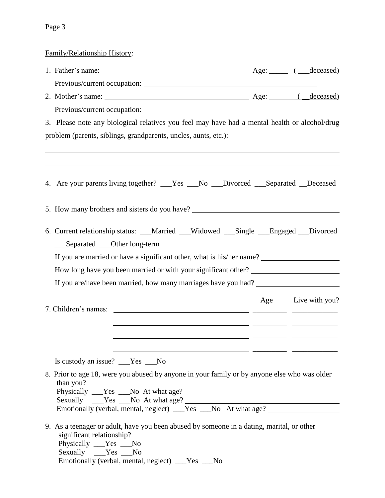Family/Relationship History:

| 3. Please note any biological relatives you feel may have had a mental health or alcohol/drug                                                                                                                                |                                                                       |  |                    |  |  |  |
|------------------------------------------------------------------------------------------------------------------------------------------------------------------------------------------------------------------------------|-----------------------------------------------------------------------|--|--------------------|--|--|--|
|                                                                                                                                                                                                                              |                                                                       |  |                    |  |  |  |
|                                                                                                                                                                                                                              |                                                                       |  |                    |  |  |  |
|                                                                                                                                                                                                                              |                                                                       |  |                    |  |  |  |
| 4. Are your parents living together? ___Yes ___No ___Divorced ___Separated __Deceased                                                                                                                                        |                                                                       |  |                    |  |  |  |
| 5. How many brothers and sisters do you have? __________________________________                                                                                                                                             |                                                                       |  |                    |  |  |  |
| 6. Current relationship status: __Married __Widowed __Single __Engaged __Divorced                                                                                                                                            |                                                                       |  |                    |  |  |  |
| ___Separated ___Other long-term                                                                                                                                                                                              |                                                                       |  |                    |  |  |  |
|                                                                                                                                                                                                                              | If you are married or have a significant other, what is his/her name? |  |                    |  |  |  |
| How long have you been married or with your significant other? __________________                                                                                                                                            |                                                                       |  |                    |  |  |  |
| If you are/have been married, how many marriages have you had? __________________                                                                                                                                            |                                                                       |  |                    |  |  |  |
|                                                                                                                                                                                                                              |                                                                       |  | Age Live with you? |  |  |  |
|                                                                                                                                                                                                                              |                                                                       |  |                    |  |  |  |
| <u> 1999 - Jacques Marian, amerikan personal (b. 1989)</u>                                                                                                                                                                   |                                                                       |  |                    |  |  |  |
|                                                                                                                                                                                                                              |                                                                       |  |                    |  |  |  |
|                                                                                                                                                                                                                              |                                                                       |  |                    |  |  |  |
| Is custody an issue? ___Yes ___No                                                                                                                                                                                            |                                                                       |  |                    |  |  |  |
| 8. Prior to age 18, were you abused by anyone in your family or by anyone else who was older<br>than you?                                                                                                                    |                                                                       |  |                    |  |  |  |
|                                                                                                                                                                                                                              |                                                                       |  |                    |  |  |  |
| 9. As a teenager or adult, have you been abused by someone in a dating, marital, or other<br>significant relationship?<br>Physically ___Yes __No<br>Sexually __Yes __No<br>Emotionally (verbal, mental, neglect) ___Yes __No |                                                                       |  |                    |  |  |  |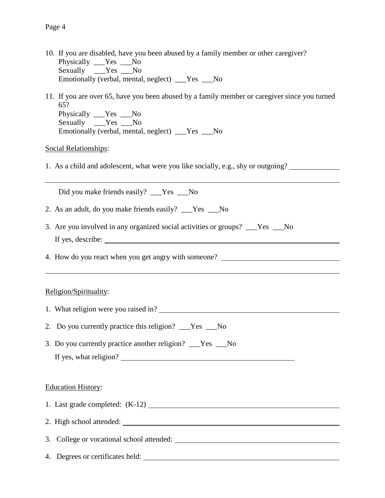- 10. If you are disabled, have you been abused by a family member or other caregiver? Physically \_\_\_Yes \_\_\_No Sexually  $Y$ es No Emotionally (verbal, mental, neglect) \_\_\_Yes \_\_\_No
- 11. If you are over 65, have you been abused by a family member or caregiver since you turned 65? Physically Yes No Sexually \_\_\_Yes \_\_\_No Emotionally (verbal, mental, neglect) \_\_\_Yes \_\_\_No

#### Social Relationships:

1. As a child and adolescent, what were you like socially, e.g., shy or outgoing?

Did you make friends easily? \_\_\_Yes \_\_\_No

- 2. As an adult, do you make friends easily? \_\_\_Yes \_\_\_No
- 3. Are you involved in any organized social activities or groups? \_\_\_Yes \_\_\_No If yes, describe:

4. How do you react when you get angry with someone?

### Religion/Spirituality:

- 1. What religion were you raised in?
- 2. Do you currently practice this religion? Yes No
- 3. Do you currently practice another religion? \_\_\_Yes \_\_\_No If yes, what religion?

#### Education History:

- 1. Last grade completed: (K-12)
- 2. High school attended:

3. College or vocational school attended:

4. Degrees or certificates held: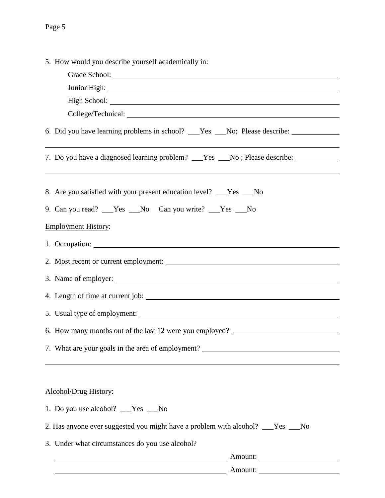| 5. How would you describe yourself academically in:                                     |  |  |  |
|-----------------------------------------------------------------------------------------|--|--|--|
|                                                                                         |  |  |  |
|                                                                                         |  |  |  |
|                                                                                         |  |  |  |
|                                                                                         |  |  |  |
| 6. Did you have learning problems in school? ___Yes ___No; Please describe: ___________ |  |  |  |
| 7. Do you have a diagnosed learning problem? __Yes __No; Please describe: _______       |  |  |  |
| 8. Are you satisfied with your present education level? ___Yes ___No                    |  |  |  |
| 9. Can you read? ___Yes ___No Can you write? ___Yes ___No                               |  |  |  |
| <b>Employment History:</b>                                                              |  |  |  |
|                                                                                         |  |  |  |
| 2. Most recent or current employment:                                                   |  |  |  |
|                                                                                         |  |  |  |
|                                                                                         |  |  |  |
| 5. Usual type of employment:                                                            |  |  |  |
| 6. How many months out of the last 12 were you employed?                                |  |  |  |
| 7. What are your goals in the area of employment?                                       |  |  |  |
|                                                                                         |  |  |  |
| Alcohol/Drug History:                                                                   |  |  |  |
| 1. Do you use alcohol? ___Yes ___No                                                     |  |  |  |
| 2. Has anyone ever suggested you might have a problem with alcohol? __Yes __No          |  |  |  |
| 3. Under what circumstances do you use alcohol?                                         |  |  |  |
| Amount:                                                                                 |  |  |  |
| Amount:                                                                                 |  |  |  |